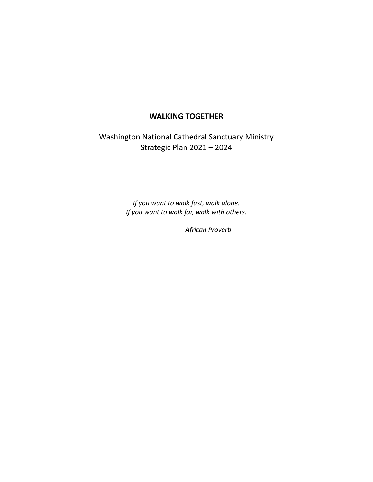## **WALKING TOGETHER**

Washington National Cathedral Sanctuary Ministry Strategic Plan 2021 – 2024

> *If you want to walk fast, walk alone. If you want to walk far, walk with others.*

> > *African Proverb*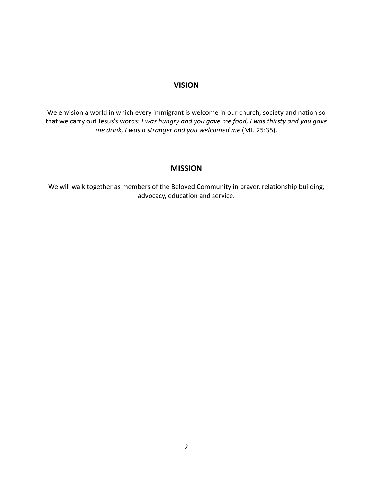## **VISION**

We envision a world in which every immigrant is welcome in our church, society and nation so that we carry out Jesus's words: *I was hungry and you gave me food, I was thirsty and you gave me drink, I was a stranger and you welcomed me* (Mt. 25:35).

## **MISSION**

We will walk together as members of the Beloved Community in prayer, relationship building, advocacy, education and service.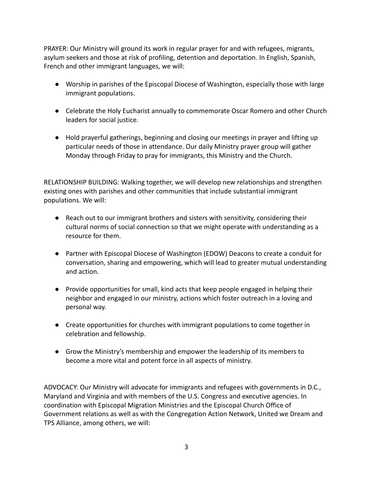PRAYER: Our Ministry will ground its work in regular prayer for and with refugees, migrants, asylum seekers and those at risk of profiling, detention and deportation. In English, Spanish, French and other immigrant languages, we will:

- Worship in parishes of the Episcopal Diocese of Washington, especially those with large immigrant populations.
- Celebrate the Holy Eucharist annually to commemorate Oscar Romero and other Church leaders for social justice.
- Hold prayerful gatherings, beginning and closing our meetings in prayer and lifting up particular needs of those in attendance. Our daily Ministry prayer group will gather Monday through Friday to pray for immigrants, this Ministry and the Church.

RELATIONSHIP BUILDING: Walking together, we will develop new relationships and strengthen existing ones with parishes and other communities that include substantial immigrant populations. We will:

- Reach out to our immigrant brothers and sisters with sensitivity, considering their cultural norms of social connection so that we might operate with understanding as a resource for them.
- Partner with Episcopal Diocese of Washington (EDOW) Deacons to create a conduit for conversation, sharing and empowering, which will lead to greater mutual understanding and action.
- Provide opportunities for small, kind acts that keep people engaged in helping their neighbor and engaged in our ministry, actions which foster outreach in a loving and personal way.
- Create opportunities for churches with immigrant populations to come together in celebration and fellowship.
- Grow the Ministry's membership and empower the leadership of its members to become a more vital and potent force in all aspects of ministry.

ADVOCACY: Our Ministry will advocate for immigrants and refugees with governments in D.C., Maryland and Virginia and with members of the U.S. Congress and executive agencies. In coordination with Episcopal Migration Ministries and the Episcopal Church Office of Government relations as well as with the Congregation Action Network, United we Dream and TPS Alliance, among others, we will: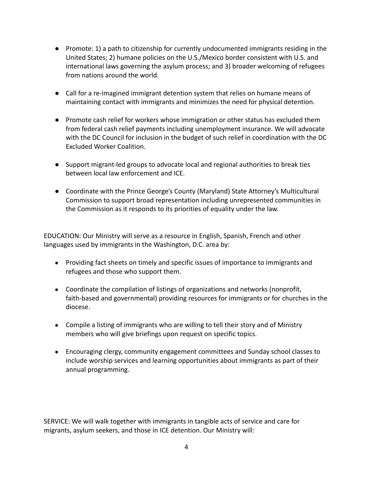- Promote: 1) a path to citizenship for currently undocumented immigrants residing in the United States; 2) humane policies on the U.S./Mexico border consistent with U.S. and international laws governing the asylum process; and 3) broader welcoming of refugees from nations around the world.
- Call for a re-imagined immigrant detention system that relies on humane means of maintaining contact with immigrants and minimizes the need for physical detention.
- Promote cash relief for workers whose immigration or other status has excluded them from federal cash relief payments including unemployment insurance. We will advocate with the DC Council for inclusion in the budget of such relief in coordination with the DC Excluded Worker Coalition.
- Support migrant-led groups to advocate local and regional authorities to break ties between local law enforcement and ICE.
- Coordinate with the Prince George's County (Maryland) State Attorney's Multicultural Commission to support broad representation including unrepresented communities in the Commission as it responds to its priorities of equality under the law.

EDUCATION: Our Ministry will serve as a resource in English, Spanish, French and other languages used by immigrants in the Washington, D.C. area by:

- Providing fact sheets on timely and specific issues of importance to immigrants and refugees and those who support them.
- Coordinate the compilation of listings of organizations and networks (nonprofit, faith-based and governmental) providing resources for immigrants or for churches in the diocese.
- Compile a listing of immigrants who are willing to tell their story and of Ministry members who will give briefings upon request on specific topics.
- Encouraging clergy, community engagement committees and Sunday school classes to include worship services and learning opportunities about immigrants as part of their annual programming.

SERVICE: We will walk together with immigrants in tangible acts of service and care for migrants, asylum seekers, and those in ICE detention. Our Ministry will: